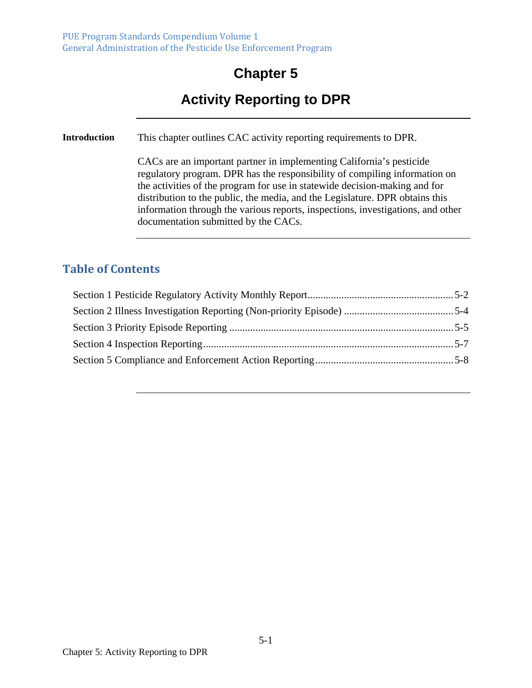## **Chapter 5**

# **Activity Reporting to DPR**

**Introduction** This chapter outlines CAC activity reporting requirements to DPR.

CACs are an important partner in implementing California's pesticide regulatory program. DPR has the responsibility of compiling information on the activities of the program for use in statewide decision-making and for distribution to the public, the media, and the Legislature. DPR obtains this information through the various reports, inspections, investigations, and other documentation submitted by the CACs.

#### **Table of Contents**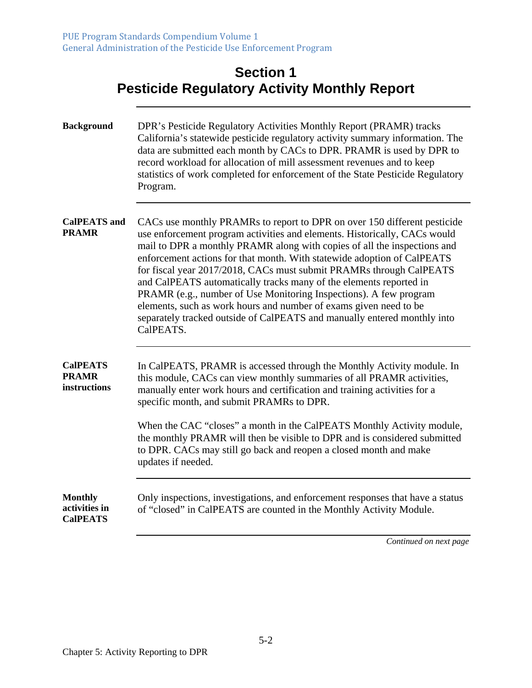| <b>Section 1</b>                                    |
|-----------------------------------------------------|
| <b>Pesticide Regulatory Activity Monthly Report</b> |

<u> 1989 - Johann Stoff, deutscher Stoffen und der Stoffen und der Stoffen und der Stoffen und der Stoffen und der</u>

| <b>Background</b>                                  | DPR's Pesticide Regulatory Activities Monthly Report (PRAMR) tracks<br>California's statewide pesticide regulatory activity summary information. The<br>data are submitted each month by CACs to DPR. PRAMR is used by DPR to<br>record workload for allocation of mill assessment revenues and to keep<br>statistics of work completed for enforcement of the State Pesticide Regulatory<br>Program.                                                                                                                                                                                                                                                                                        |
|----------------------------------------------------|----------------------------------------------------------------------------------------------------------------------------------------------------------------------------------------------------------------------------------------------------------------------------------------------------------------------------------------------------------------------------------------------------------------------------------------------------------------------------------------------------------------------------------------------------------------------------------------------------------------------------------------------------------------------------------------------|
| <b>CalPEATS</b> and<br><b>PRAMR</b>                | CACs use monthly PRAMRs to report to DPR on over 150 different pesticide<br>use enforcement program activities and elements. Historically, CACs would<br>mail to DPR a monthly PRAMR along with copies of all the inspections and<br>enforcement actions for that month. With statewide adoption of CalPEATS<br>for fiscal year 2017/2018, CACs must submit PRAMRs through CalPEATS<br>and CalPEATS automatically tracks many of the elements reported in<br>PRAMR (e.g., number of Use Monitoring Inspections). A few program<br>elements, such as work hours and number of exams given need to be<br>separately tracked outside of CalPEATS and manually entered monthly into<br>CalPEATS. |
| <b>CalPEATS</b><br><b>PRAMR</b><br>instructions    | In CalPEATS, PRAMR is accessed through the Monthly Activity module. In<br>this module, CACs can view monthly summaries of all PRAMR activities,<br>manually enter work hours and certification and training activities for a<br>specific month, and submit PRAMRs to DPR.<br>When the CAC "closes" a month in the CalPEATS Monthly Activity module,<br>the monthly PRAMR will then be visible to DPR and is considered submitted<br>to DPR. CACs may still go back and reopen a closed month and make<br>updates if needed.                                                                                                                                                                  |
| <b>Monthly</b><br>activities in<br><b>CalPEATS</b> | Only inspections, investigations, and enforcement responses that have a status<br>of "closed" in CalPEATS are counted in the Monthly Activity Module.                                                                                                                                                                                                                                                                                                                                                                                                                                                                                                                                        |

*Continued on next page*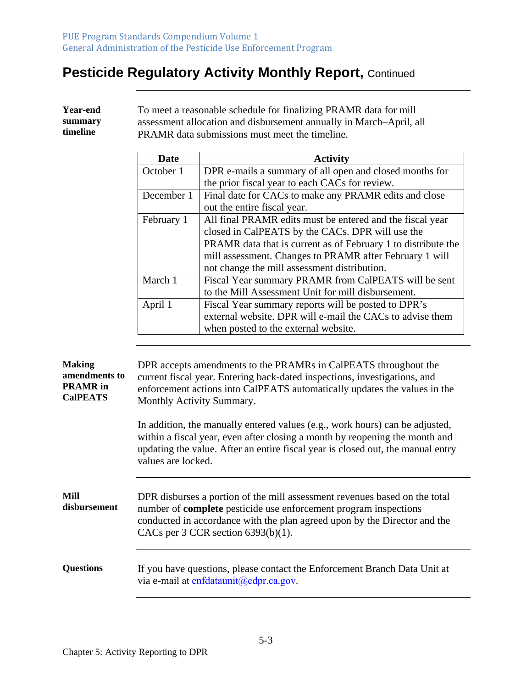Γ

## **Pesticide Regulatory Activity Monthly Report, Continued**

|                                                                      | October 1                                                                                                                                                                                                                                                                                                                                                                                                                                                                                                                      | DPR e-mails a summary of all open and closed months for                                                                                                                                                                                                                     |
|----------------------------------------------------------------------|--------------------------------------------------------------------------------------------------------------------------------------------------------------------------------------------------------------------------------------------------------------------------------------------------------------------------------------------------------------------------------------------------------------------------------------------------------------------------------------------------------------------------------|-----------------------------------------------------------------------------------------------------------------------------------------------------------------------------------------------------------------------------------------------------------------------------|
|                                                                      |                                                                                                                                                                                                                                                                                                                                                                                                                                                                                                                                | the prior fiscal year to each CACs for review.                                                                                                                                                                                                                              |
|                                                                      | December 1                                                                                                                                                                                                                                                                                                                                                                                                                                                                                                                     | Final date for CACs to make any PRAMR edits and close                                                                                                                                                                                                                       |
|                                                                      |                                                                                                                                                                                                                                                                                                                                                                                                                                                                                                                                | out the entire fiscal year.                                                                                                                                                                                                                                                 |
|                                                                      | February 1                                                                                                                                                                                                                                                                                                                                                                                                                                                                                                                     | All final PRAMR edits must be entered and the fiscal year                                                                                                                                                                                                                   |
|                                                                      |                                                                                                                                                                                                                                                                                                                                                                                                                                                                                                                                | closed in CalPEATS by the CACs. DPR will use the                                                                                                                                                                                                                            |
|                                                                      |                                                                                                                                                                                                                                                                                                                                                                                                                                                                                                                                | PRAMR data that is current as of February 1 to distribute the                                                                                                                                                                                                               |
|                                                                      |                                                                                                                                                                                                                                                                                                                                                                                                                                                                                                                                | mill assessment. Changes to PRAMR after February 1 will                                                                                                                                                                                                                     |
|                                                                      |                                                                                                                                                                                                                                                                                                                                                                                                                                                                                                                                | not change the mill assessment distribution.                                                                                                                                                                                                                                |
|                                                                      | March 1                                                                                                                                                                                                                                                                                                                                                                                                                                                                                                                        | Fiscal Year summary PRAMR from CalPEATS will be sent                                                                                                                                                                                                                        |
|                                                                      |                                                                                                                                                                                                                                                                                                                                                                                                                                                                                                                                | to the Mill Assessment Unit for mill disbursement.                                                                                                                                                                                                                          |
|                                                                      | April 1                                                                                                                                                                                                                                                                                                                                                                                                                                                                                                                        | Fiscal Year summary reports will be posted to DPR's                                                                                                                                                                                                                         |
|                                                                      |                                                                                                                                                                                                                                                                                                                                                                                                                                                                                                                                | external website. DPR will e-mail the CACs to advise them                                                                                                                                                                                                                   |
|                                                                      |                                                                                                                                                                                                                                                                                                                                                                                                                                                                                                                                | when posted to the external website.                                                                                                                                                                                                                                        |
|                                                                      |                                                                                                                                                                                                                                                                                                                                                                                                                                                                                                                                |                                                                                                                                                                                                                                                                             |
| <b>Making</b><br>amendments to<br><b>PRAMR</b> in<br><b>CalPEATS</b> | DPR accepts amendments to the PRAMRs in CalPEATS throughout the<br>current fiscal year. Entering back-dated inspections, investigations, and<br>enforcement actions into CalPEATS automatically updates the values in the<br>Monthly Activity Summary.<br>In addition, the manually entered values (e.g., work hours) can be adjusted,<br>within a fiscal year, even after closing a month by reopening the month and<br>updating the value. After an entire fiscal year is closed out, the manual entry<br>values are locked. |                                                                                                                                                                                                                                                                             |
| Mill<br>disbursement                                                 |                                                                                                                                                                                                                                                                                                                                                                                                                                                                                                                                | DPR disburses a portion of the mill assessment revenues based on the total<br>number of <b>complete</b> pesticide use enforcement program inspections<br>conducted in accordance with the plan agreed upon by the Director and the<br>CACs per 3 CCR section $6393(b)(1)$ . |
| <b>Questions</b>                                                     |                                                                                                                                                                                                                                                                                                                                                                                                                                                                                                                                | If you have questions, please contact the Enforcement Branch Data Unit at                                                                                                                                                                                                   |

**Year-end summary timeline**  To meet a reasonable schedule for finalizing PRAMR data for mill assessment allocation and disbursement annually in March–April, all PRAMR data submissions must meet the timeline.

**Date Activity**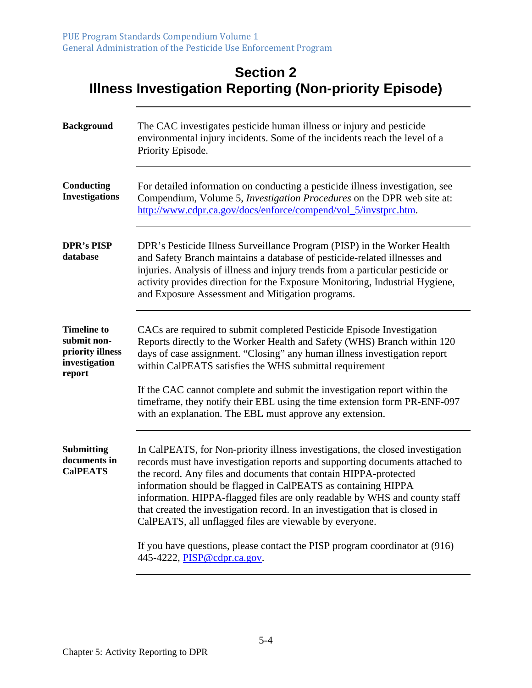#### **Section 2 Illness Investigation Reporting (Non-priority Episode)**

| The CAC investigates pesticide human illness or injury and pesticide<br>environmental injury incidents. Some of the incidents reach the level of a<br>Priority Episode.                                                                                                                                                                                                                                                                                                                                                                                                                                                                    |
|--------------------------------------------------------------------------------------------------------------------------------------------------------------------------------------------------------------------------------------------------------------------------------------------------------------------------------------------------------------------------------------------------------------------------------------------------------------------------------------------------------------------------------------------------------------------------------------------------------------------------------------------|
| For detailed information on conducting a pesticide illness investigation, see<br>Compendium, Volume 5, Investigation Procedures on the DPR web site at:<br>http://www.cdpr.ca.gov/docs/enforce/compend/vol_5/invstprc.htm.                                                                                                                                                                                                                                                                                                                                                                                                                 |
| DPR's Pesticide Illness Surveillance Program (PISP) in the Worker Health<br>and Safety Branch maintains a database of pesticide-related illnesses and<br>injuries. Analysis of illness and injury trends from a particular pesticide or<br>activity provides direction for the Exposure Monitoring, Industrial Hygiene,<br>and Exposure Assessment and Mitigation programs.                                                                                                                                                                                                                                                                |
| CACs are required to submit completed Pesticide Episode Investigation<br>Reports directly to the Worker Health and Safety (WHS) Branch within 120<br>days of case assignment. "Closing" any human illness investigation report<br>within CalPEATS satisfies the WHS submittal requirement<br>If the CAC cannot complete and submit the investigation report within the<br>timeframe, they notify their EBL using the time extension form PR-ENF-097<br>with an explanation. The EBL must approve any extension.                                                                                                                            |
| In CalPEATS, for Non-priority illness investigations, the closed investigation<br>records must have investigation reports and supporting documents attached to<br>the record. Any files and documents that contain HIPPA-protected<br>information should be flagged in CalPEATS as containing HIPPA<br>information. HIPPA-flagged files are only readable by WHS and county staff<br>that created the investigation record. In an investigation that is closed in<br>CalPEATS, all unflagged files are viewable by everyone.<br>If you have questions, please contact the PISP program coordinator at (916)<br>445-4222, PISP@cdpr.ca.gov. |
|                                                                                                                                                                                                                                                                                                                                                                                                                                                                                                                                                                                                                                            |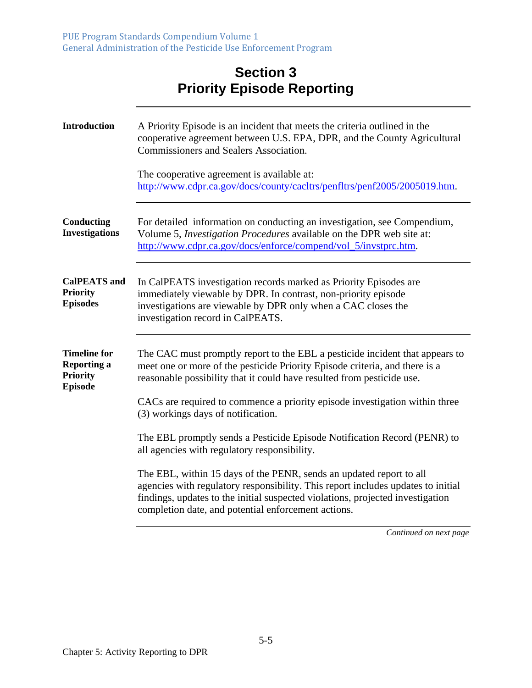### **Section 3 Priority Episode Reporting**

| <b>Introduction</b>                                                            | A Priority Episode is an incident that meets the criteria outlined in the<br>cooperative agreement between U.S. EPA, DPR, and the County Agricultural<br>Commissioners and Sealers Association.<br>The cooperative agreement is available at:                                                    |
|--------------------------------------------------------------------------------|--------------------------------------------------------------------------------------------------------------------------------------------------------------------------------------------------------------------------------------------------------------------------------------------------|
|                                                                                | http://www.cdpr.ca.gov/docs/county/cacltrs/penfltrs/penf2005/2005019.htm.                                                                                                                                                                                                                        |
| Conducting<br><b>Investigations</b>                                            | For detailed information on conducting an investigation, see Compendium,<br>Volume 5, Investigation Procedures available on the DPR web site at:<br>http://www.cdpr.ca.gov/docs/enforce/compend/vol_5/invstprc.htm.                                                                              |
| <b>CalPEATS</b> and<br><b>Priority</b><br><b>Episodes</b>                      | In CalPEATS investigation records marked as Priority Episodes are<br>immediately viewable by DPR. In contrast, non-priority episode<br>investigations are viewable by DPR only when a CAC closes the<br>investigation record in CalPEATS.                                                        |
| <b>Timeline for</b><br><b>Reporting a</b><br><b>Priority</b><br><b>Episode</b> | The CAC must promptly report to the EBL a pesticide incident that appears to<br>meet one or more of the pesticide Priority Episode criteria, and there is a<br>reasonable possibility that it could have resulted from pesticide use.                                                            |
|                                                                                | CACs are required to commence a priority episode investigation within three<br>(3) workings days of notification.                                                                                                                                                                                |
|                                                                                | The EBL promptly sends a Pesticide Episode Notification Record (PENR) to<br>all agencies with regulatory responsibility.                                                                                                                                                                         |
|                                                                                | The EBL, within 15 days of the PENR, sends an updated report to all<br>agencies with regulatory responsibility. This report includes updates to initial<br>findings, updates to the initial suspected violations, projected investigation<br>completion date, and potential enforcement actions. |
|                                                                                | Continued on next page                                                                                                                                                                                                                                                                           |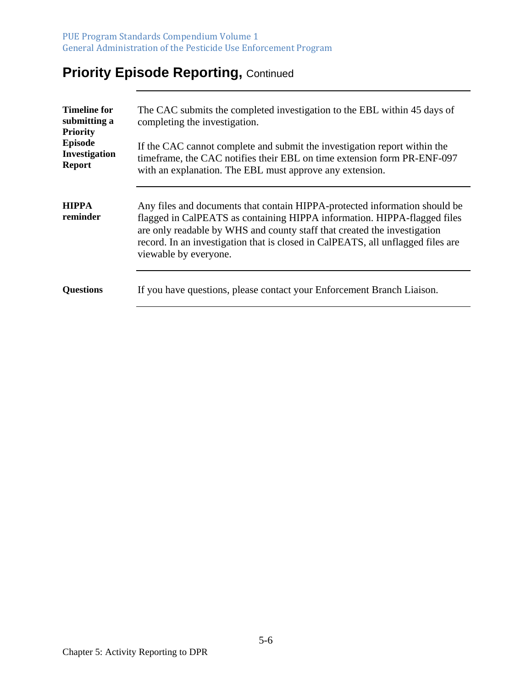PUE Program Standards Compendium Volume 1 General Administration of the Pesticide Use Enforcement Program

# **Priority Episode Reporting, Continued**

| <b>Timeline for</b><br>submitting a<br><b>Priority</b><br><b>Episode</b><br><b>Investigation</b><br><b>Report</b> | The CAC submits the completed investigation to the EBL within 45 days of<br>completing the investigation.<br>If the CAC cannot complete and submit the investigation report within the<br>timeframe, the CAC notifies their EBL on time extension form PR-ENF-097<br>with an explanation. The EBL must approve any extension.                  |
|-------------------------------------------------------------------------------------------------------------------|------------------------------------------------------------------------------------------------------------------------------------------------------------------------------------------------------------------------------------------------------------------------------------------------------------------------------------------------|
| <b>HIPPA</b><br>reminder                                                                                          | Any files and documents that contain HIPPA-protected information should be<br>flagged in CalPEATS as containing HIPPA information. HIPPA-flagged files<br>are only readable by WHS and county staff that created the investigation<br>record. In an investigation that is closed in CalPEATS, all unflagged files are<br>viewable by everyone. |
| <b>Questions</b>                                                                                                  | If you have questions, please contact your Enforcement Branch Liaison.                                                                                                                                                                                                                                                                         |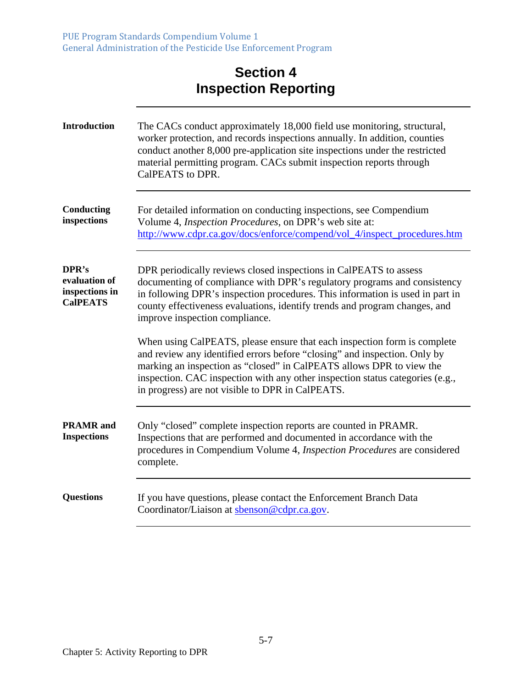## **Section 4 Inspection Reporting**

| <b>Introduction</b>                                         | The CACs conduct approximately 18,000 field use monitoring, structural,<br>worker protection, and records inspections annually. In addition, counties<br>conduct another 8,000 pre-application site inspections under the restricted<br>material permitting program. CACs submit inspection reports through<br>CalPEATS to DPR.                                    |
|-------------------------------------------------------------|--------------------------------------------------------------------------------------------------------------------------------------------------------------------------------------------------------------------------------------------------------------------------------------------------------------------------------------------------------------------|
| Conducting<br>inspections                                   | For detailed information on conducting inspections, see Compendium<br>Volume 4, Inspection Procedures, on DPR's web site at:<br>http://www.cdpr.ca.gov/docs/enforce/compend/vol_4/inspect_procedures.htm                                                                                                                                                           |
| DPR's<br>evaluation of<br>inspections in<br><b>CalPEATS</b> | DPR periodically reviews closed inspections in CalPEATS to assess<br>documenting of compliance with DPR's regulatory programs and consistency<br>in following DPR's inspection procedures. This information is used in part in<br>county effectiveness evaluations, identify trends and program changes, and<br>improve inspection compliance.                     |
|                                                             | When using CalPEATS, please ensure that each inspection form is complete<br>and review any identified errors before "closing" and inspection. Only by<br>marking an inspection as "closed" in CalPEATS allows DPR to view the<br>inspection. CAC inspection with any other inspection status categories (e.g.,<br>in progress) are not visible to DPR in CalPEATS. |
| <b>PRAMR</b> and<br><b>Inspections</b>                      | Only "closed" complete inspection reports are counted in PRAMR.<br>Inspections that are performed and documented in accordance with the<br>procedures in Compendium Volume 4, Inspection Procedures are considered<br>complete.                                                                                                                                    |
| <b>Questions</b>                                            | If you have questions, please contact the Enforcement Branch Data<br>Coordinator/Liaison at sbenson@cdpr.ca.gov.                                                                                                                                                                                                                                                   |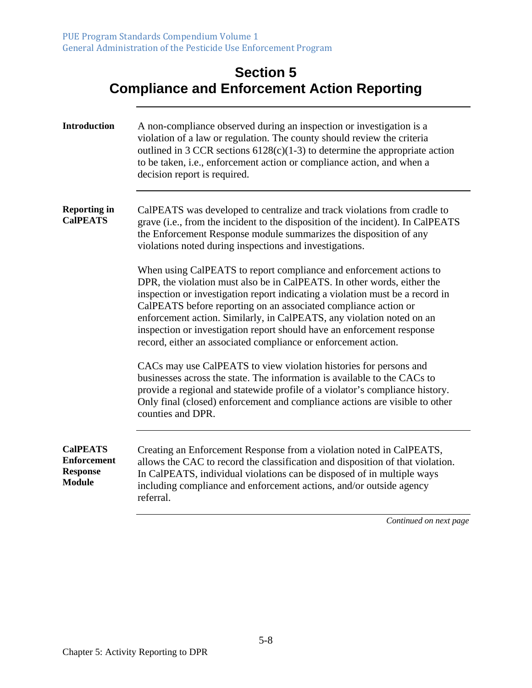| <b>Section 5</b>                                   |
|----------------------------------------------------|
| <b>Compliance and Enforcement Action Reporting</b> |

<u> 1989 - Johann Stoff, Amerikaansk politiker (</u>

| <b>Introduction</b>                                                       | A non-compliance observed during an inspection or investigation is a<br>violation of a law or regulation. The county should review the criteria<br>outlined in 3 CCR sections $6128(c)(1-3)$ to determine the appropriate action<br>to be taken, i.e., enforcement action or compliance action, and when a<br>decision report is required.                                                                                                                                                                              |
|---------------------------------------------------------------------------|-------------------------------------------------------------------------------------------------------------------------------------------------------------------------------------------------------------------------------------------------------------------------------------------------------------------------------------------------------------------------------------------------------------------------------------------------------------------------------------------------------------------------|
| <b>Reporting in</b><br><b>CalPEATS</b>                                    | CalPEATS was developed to centralize and track violations from cradle to<br>grave (i.e., from the incident to the disposition of the incident). In CalPEATS<br>the Enforcement Response module summarizes the disposition of any<br>violations noted during inspections and investigations.                                                                                                                                                                                                                             |
|                                                                           | When using CalPEATS to report compliance and enforcement actions to<br>DPR, the violation must also be in CalPEATS. In other words, either the<br>inspection or investigation report indicating a violation must be a record in<br>CalPEATS before reporting on an associated compliance action or<br>enforcement action. Similarly, in CalPEATS, any violation noted on an<br>inspection or investigation report should have an enforcement response<br>record, either an associated compliance or enforcement action. |
|                                                                           | CACs may use CalPEATS to view violation histories for persons and<br>businesses across the state. The information is available to the CACs to<br>provide a regional and statewide profile of a violator's compliance history.<br>Only final (closed) enforcement and compliance actions are visible to other<br>counties and DPR.                                                                                                                                                                                       |
| <b>CalPEATS</b><br><b>Enforcement</b><br><b>Response</b><br><b>Module</b> | Creating an Enforcement Response from a violation noted in CalPEATS,<br>allows the CAC to record the classification and disposition of that violation.<br>In CalPEATS, individual violations can be disposed of in multiple ways<br>including compliance and enforcement actions, and/or outside agency<br>referral.                                                                                                                                                                                                    |
|                                                                           | Continued on next page                                                                                                                                                                                                                                                                                                                                                                                                                                                                                                  |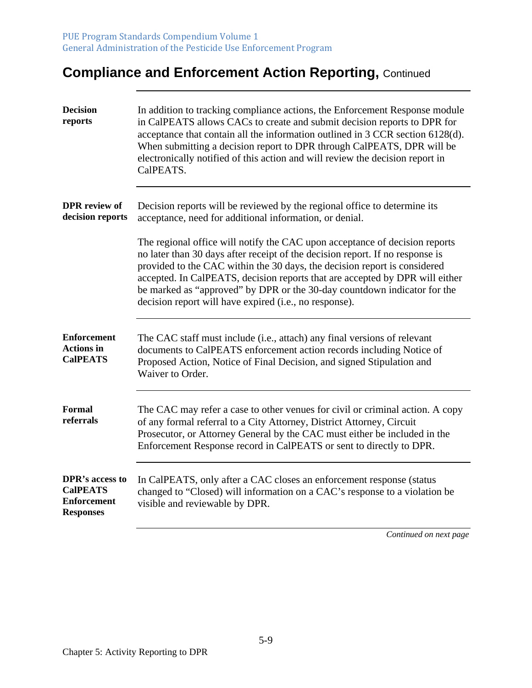# **Compliance and Enforcement Action Reporting, Continued**

| <b>Decision</b><br>reports                                                   | In addition to tracking compliance actions, the Enforcement Response module<br>in CalPEATS allows CACs to create and submit decision reports to DPR for<br>acceptance that contain all the information outlined in 3 CCR section 6128(d).<br>When submitting a decision report to DPR through CalPEATS, DPR will be<br>electronically notified of this action and will review the decision report in<br>CalPEATS.                                               |
|------------------------------------------------------------------------------|-----------------------------------------------------------------------------------------------------------------------------------------------------------------------------------------------------------------------------------------------------------------------------------------------------------------------------------------------------------------------------------------------------------------------------------------------------------------|
| <b>DPR</b> review of<br>decision reports                                     | Decision reports will be reviewed by the regional office to determine its<br>acceptance, need for additional information, or denial.                                                                                                                                                                                                                                                                                                                            |
|                                                                              | The regional office will notify the CAC upon acceptance of decision reports<br>no later than 30 days after receipt of the decision report. If no response is<br>provided to the CAC within the 30 days, the decision report is considered<br>accepted. In CalPEATS, decision reports that are accepted by DPR will either<br>be marked as "approved" by DPR or the 30-day countdown indicator for the<br>decision report will have expired (i.e., no response). |
| <b>Enforcement</b><br><b>Actions in</b><br><b>CalPEATS</b>                   | The CAC staff must include (i.e., attach) any final versions of relevant<br>documents to CalPEATS enforcement action records including Notice of<br>Proposed Action, Notice of Final Decision, and signed Stipulation and<br>Waiver to Order.                                                                                                                                                                                                                   |
| <b>Formal</b><br>referrals                                                   | The CAC may refer a case to other venues for civil or criminal action. A copy<br>of any formal referral to a City Attorney, District Attorney, Circuit<br>Prosecutor, or Attorney General by the CAC must either be included in the<br>Enforcement Response record in CalPEATS or sent to directly to DPR.                                                                                                                                                      |
| DPR's access to<br><b>CalPEATS</b><br><b>Enforcement</b><br><b>Responses</b> | In CalPEATS, only after a CAC closes an enforcement response (status<br>changed to "Closed) will information on a CAC's response to a violation be<br>visible and reviewable by DPR.                                                                                                                                                                                                                                                                            |
|                                                                              | Continued on next page                                                                                                                                                                                                                                                                                                                                                                                                                                          |